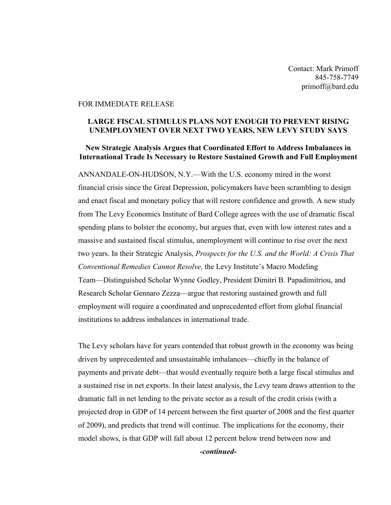Contact: Mark Primoff 845-758-7749 primoff@bard.edu

## FOR IMMEDIATE RELEASE

## **LARGE FISCAL STIMULUS PLANS NOT ENOUGH TO PREVENT RISING UNEMPLOYMENT OVER NEXT TWO YEARS, NEW LEVY STUDY SAYS**

## **New Strategic Analysis Argues that Coordinated Effort to Address Imbalances in International Trade Is Necessary to Restore Sustained Growth and Full Employment**

ANNANDALE-ON-HUDSON, N.Y.—With the U.S. economy mired in the worst financial crisis since the Great Depression, policymakers have been scrambling to design and enact fiscal and monetary policy that will restore confidence and growth. A new study from The Levy Economics Institute of Bard College agrees with the use of dramatic fiscal spending plans to bolster the economy, but argues that, even with low interest rates and a massive and sustained fiscal stimulus, unemployment will continue to rise over the next two years. In their Strategic Analysis, *Prospects for the U.S. and the World: A Crisis That Conventional Remedies Cannot Resolve,* the Levy Institute's Macro Modeling Team—Distinguished Scholar Wynne Godley, President Dimitri B. Papadimitriou, and Research Scholar Gennaro Zezza—argue that restoring sustained growth and full employment will require a coordinated and unprecedented effort from global financial institutions to address imbalances in international trade.

The Levy scholars have for years contended that robust growth in the economy was being driven by unprecedented and unsustainable imbalances—chiefly in the balance of payments and private debt—that would eventually require both a large fiscal stimulus and a sustained rise in net exports. In their latest analysis, the Levy team draws attention to the dramatic fall in net lending to the private sector as a result of the credit crisis (with a projected drop in GDP of 14 percent between the first quarter of 2008 and the first quarter of 2009), and predicts that trend will continue. The implications for the economy, their model shows, is that GDP will fall about 12 percent below trend between now and *-continued-*